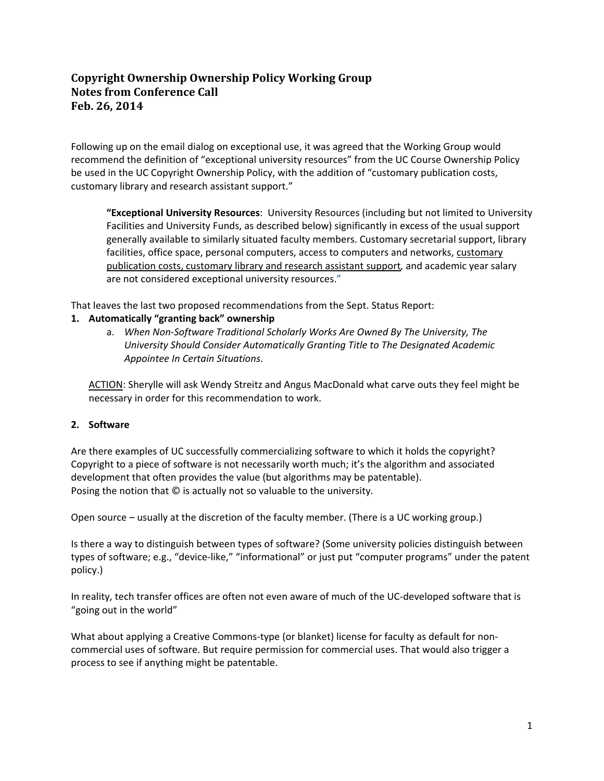## **Copyright Ownership Ownership Policy Working Group Notes from Conference Call Feb. 26, 2014**

Following up on the email dialog on exceptional use, it was agreed that the Working Group would recommend the definition of "exceptional university resources" from the UC Course Ownership Policy be used in the UC Copyright Ownership Policy, with the addition of "customary publication costs, customary library and research assistant support."

**"Exceptional University Resources**: University Resources (including but not limited to University Facilities and University Funds, as described below) significantly in excess of the usual support generally available to similarly situated faculty members. Customary secretarial support, library facilities, office space, personal computers, access to computers and networks, customary publication costs, customary library and research assistant support*,* and academic year salary are not considered exceptional university resources."

That leaves the last two proposed recommendations from the Sept. Status Report:

## **1. Automatically "granting back" ownership**

a. *When Non‐Software Traditional Scholarly Works Are Owned By The University, The University Should Consider Automatically Granting Title to The Designated Academic Appointee In Certain Situations*.

ACTION: Sherylle will ask Wendy Streitz and Angus MacDonald what carve outs they feel might be necessary in order for this recommendation to work.

## **2. Software**

Are there examples of UC successfully commercializing software to which it holds the copyright? Copyright to a piece of software is not necessarily worth much; it's the algorithm and associated development that often provides the value (but algorithms may be patentable). Posing the notion that © is actually not so valuable to the university.

Open source – usually at the discretion of the faculty member. (There is a UC working group.)

Is there a way to distinguish between types of software? (Some university policies distinguish between types of software; e.g., "device‐like," "informational" or just put "computer programs" under the patent policy.)

In reality, tech transfer offices are often not even aware of much of the UC‐developed software that is "going out in the world"

What about applying a Creative Commons-type (or blanket) license for faculty as default for noncommercial uses of software. But require permission for commercial uses. That would also trigger a process to see if anything might be patentable.